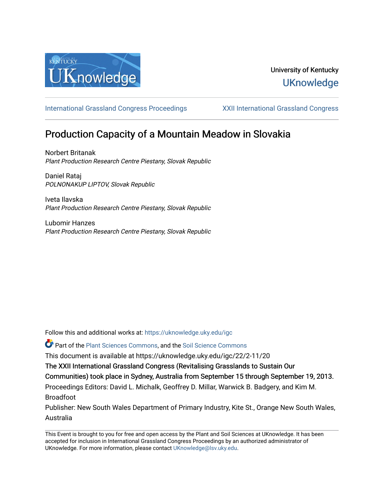

## University of Kentucky **UKnowledge**

[International Grassland Congress Proceedings](https://uknowledge.uky.edu/igc) [XXII International Grassland Congress](https://uknowledge.uky.edu/igc/22) 

# Production Capacity of a Mountain Meadow in Slovakia

Norbert Britanak Plant Production Research Centre Piestany, Slovak Republic

Daniel Rataj POLNONAKUP LIPTOV, Slovak Republic

Iveta Ilavska Plant Production Research Centre Piestany, Slovak Republic

Lubomir Hanzes Plant Production Research Centre Piestany, Slovak Republic

Follow this and additional works at: [https://uknowledge.uky.edu/igc](https://uknowledge.uky.edu/igc?utm_source=uknowledge.uky.edu%2Figc%2F22%2F2-11%2F20&utm_medium=PDF&utm_campaign=PDFCoverPages) 

Part of the [Plant Sciences Commons](http://network.bepress.com/hgg/discipline/102?utm_source=uknowledge.uky.edu%2Figc%2F22%2F2-11%2F20&utm_medium=PDF&utm_campaign=PDFCoverPages), and the [Soil Science Commons](http://network.bepress.com/hgg/discipline/163?utm_source=uknowledge.uky.edu%2Figc%2F22%2F2-11%2F20&utm_medium=PDF&utm_campaign=PDFCoverPages) 

This document is available at https://uknowledge.uky.edu/igc/22/2-11/20

The XXII International Grassland Congress (Revitalising Grasslands to Sustain Our

Communities) took place in Sydney, Australia from September 15 through September 19, 2013.

Proceedings Editors: David L. Michalk, Geoffrey D. Millar, Warwick B. Badgery, and Kim M. Broadfoot

Publisher: New South Wales Department of Primary Industry, Kite St., Orange New South Wales, Australia

This Event is brought to you for free and open access by the Plant and Soil Sciences at UKnowledge. It has been accepted for inclusion in International Grassland Congress Proceedings by an authorized administrator of UKnowledge. For more information, please contact [UKnowledge@lsv.uky.edu](mailto:UKnowledge@lsv.uky.edu).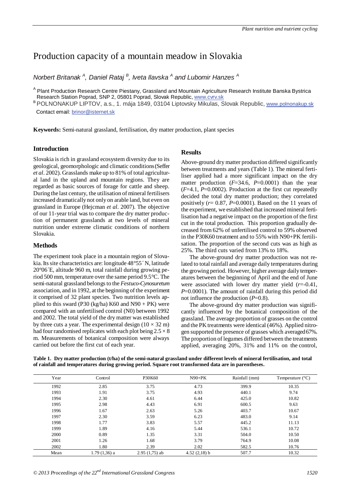### Production capacity of a mountain meadow in Slovakia

*Norbert Britanak <sup>A</sup> , Daniel Rataj <sup>B</sup> , Iveta Ilavska <sup>A</sup> and Lubomir Hanzes <sup>A</sup>*

<sup>A</sup> Plant Production Research Centre Piestany, Grassland and Mountain Agriculture Research Institute Banska Bystrica Research Station Poprad, SNP 2, 05801 Poprad, Slovak Republic, www.cvrv.sk

. Research Station Poprad, SNP 2, 05801 Poprad, Slovak Republic, <u>www.cvrv.sk</u><br><sup>B</sup> POLNONAKUP LIPTOV, a.s., 1. mája 1849, 03104 Liptovsky Mikulas, Slovak Republic, <u>www.polnonakup.sk</u> Contact email: <u>brinor@isternet.sk</u>

**Keywords:** Semi-natural grassland, fertilisation, dry matter production, plant species

#### **Introduction**

Slovakia is rich in grassland ecosystem diversity due to its geological, geomorphologic and climatic conditions (Seffer *et al*. 2002). Grasslands make up to 81% of total agricultural land in the upland and mountain regions. They are regarded as basic sources of forage for cattle and sheep. During the last century, the utilisation of mineral fertilisers increased dramatically not only on arable land, but even on grassland in Europe (Hejcman *et al*. 2007). The objective of our 11-year trial was to compare the dry matter production of permanent grasslands at two levels of mineral nutrition under extreme climatic conditions of northern Slovakia.

#### **Methods**

The experiment took place in a mountain region of Slovakia. Its site characteristics are: longitude 48°55´ N, latitude 20°06´E, altitude 960 m, total rainfall during growing period 500 mm, temperature over the same period 9.5°C. The semi-natural grassland belongs to the *Festuco-Cynosuretum* association, and in 1992, at the beginning of the experiment it comprised of 32 plant species. Two nutrition levels applied to this sward (P30 (kg/ha) K60 and  $N90 + PK$ ) were compared with an unfertilised control (N0) between 1992 and 2002. The total yield of the dry matter was established by three cuts a year. The experimental design  $(10 \times 32 \text{ m})$ had four randomised replicates with each plot being  $2.5 \times 8$ m. Measurements of botanical composition were always carried out before the first cut of each year.

#### **Results**

Above-ground dry matter production differed significantly between treatments and years (Table 1). The mineral fertiliser applied had a more significant impact on the dry matter production  $(F=34.6, P=0.0001)$  than the year (*F*=4.1, *P*=0.0002). Production at the first cut repeatedly decided the total dry matter production; they correlated positively  $(r= 0.87, P=0.0001)$ . Based on the 11 years of the experiment, we established that increased mineral fertilisation had a negative impact on the proportion of the first cut in the total production. This proportion gradually decreased from 62% of unfertilised control to 59% observed in the P30K60 treatment and to 55% with N90+PK fertilisation. The proportion of the second cuts was as high as 25%. The third cuts varied from 13% to 18%.

The above-ground dry matter production was not related to total rainfall and average daily temperatures during the growing period. However, higher average daily temperatures between the beginning of April and the end of June were associated with lower dry matter yield (*r*=-0.41, *P*=0.0001). The amount of rainfall during this period did not influence the production (*P*=0.8).

The above-ground dry matter production was significantly influenced by the botanical composition of the grassland. The average proportion of grasses on the control and the PK treatments were identical (46%). Applied nitrogen supported the presence of grasses which averaged 67%. The proportion of legumes differed between the treatments applied, averaging 20%, 31% and 11% on the control,

**Table 1. Dry matter production (t/ha) of the semi-natural grassland under different levels of mineral fertilisation, and total of rainfall and temperatures during growing period. Square root transformed data are in parentheses.** 

| Year | Control       | P30K60          | $N90 + PK$     | Rainfall (mm) | Temperature $(^{\circ}C)$ |
|------|---------------|-----------------|----------------|---------------|---------------------------|
| 1992 | 2.85          | 3.75            | 4.73           | 399.9         | 10.35                     |
| 1993 | 1.91          | 3.75            | 4.93           | 440.1         | 9.74                      |
| 1994 | 2.30          | 4.61            | 6.44           | 425.0         | 10.82                     |
| 1995 | 2.98          | 4.43            | 6.91           | 600.5         | 9.63                      |
| 1996 | 1.67          | 2.63            | 5.26           | 403.7         | 10.67                     |
| 1997 | 2.30          | 3.59            | 6.23           | 483.0         | 9.14                      |
| 1998 | 1.77          | 3.83            | 5.57           | 445.2         | 11.13                     |
| 1999 | 1.89          | 4.16            | 5.44           | 536.1         | 10.72                     |
| 2000 | 0.89          | 1.35            | 3.31           | 504.0         | 10.50                     |
| 2001 | 1.26          | 1.68            | 3.79           | 764.9         | 10.08                     |
| 2002 | 1.80          | 2.39            | 2.02           | 582.5         | 10.76                     |
| Mean | 1.79 (1,36) a | $2.95(1,75)$ ab | $4.52(2,18)$ b | 507.7         | 10.32                     |